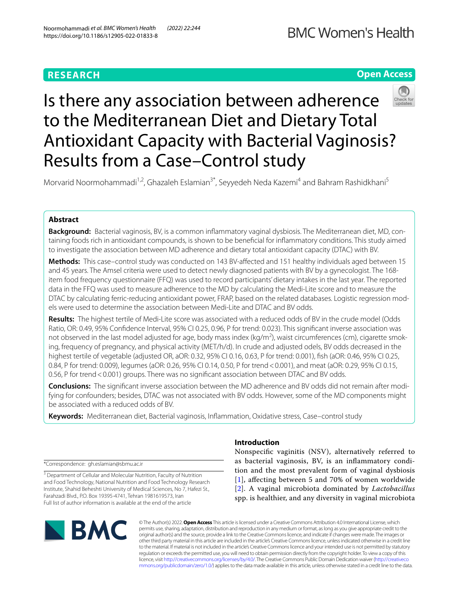# **RESEARCH**

# **Open Access**



# Is there any association between adherence to the Mediterranean Diet and Dietary Total Antioxidant Capacity with Bacterial Vaginosis? Results from a Case–Control study

Morvarid Noormohammadi<sup>1,2</sup>, Ghazaleh Eslamian<sup>3\*</sup>, Seyyedeh Neda Kazemi<sup>4</sup> and Bahram Rashidkhani<sup>5</sup>

## **Abstract**

**Background:** Bacterial vaginosis, BV, is a common infammatory vaginal dysbiosis. The Mediterranean diet, MD, containing foods rich in antioxidant compounds, is shown to be benefcial for infammatory conditions. This study aimed to investigate the association between MD adherence and dietary total antioxidant capacity (DTAC) with BV.

**Methods:** This case–control study was conducted on 143 BV-afected and 151 healthy individuals aged between 15 and 45 years. The Amsel criteria were used to detect newly diagnosed patients with BV by a gynecologist. The 168 item food frequency questionnaire (FFQ) was used to record participants' dietary intakes in the last year. The reported data in the FFQ was used to measure adherence to the MD by calculating the Medi-Lite score and to measure the DTAC by calculating ferric-reducing antioxidant power, FRAP, based on the related databases. Logistic regression models were used to determine the association between Medi-Lite and DTAC and BV odds.

**Results:** The highest tertile of Medi-Lite score was associated with a reduced odds of BV in the crude model (Odds Ratio, OR: 0.49, 95% Confdence Interval, 95% CI 0.25, 0.96, P for trend: 0.023). This signifcant inverse association was not observed in the last model adjusted for age, body mass index (kg/m<sup>2</sup>), waist circumferences (cm), cigarette smoking, frequency of pregnancy, and physical activity (MET/h/d). In crude and adjusted odels, BV odds decreased in the highest tertile of vegetable (adjusted OR, aOR: 0.32, 95% CI 0.16, 0.63, P for trend: 0.001), fsh (aOR: 0.46, 95% CI 0.25, 0.84, P for trend: 0.009), legumes (aOR: 0.26, 95% CI 0.14, 0.50, P for trend<0.001), and meat (aOR: 0.29, 95% CI 0.15, 0.56, P for trend <0.001) groups. There was no significant association between DTAC and BV odds.

**Conclusions:** The signifcant inverse association between the MD adherence and BV odds did not remain after modifying for confounders; besides, DTAC was not associated with BV odds. However, some of the MD components might be associated with a reduced odds of BV.

**Keywords:** Mediterranean diet, Bacterial vaginosis, Infammation, Oxidative stress, Case–control study

\*Correspondence: gh.eslamian@sbmu.ac.ir

<sup>3</sup> Department of Cellular and Molecular Nutrition, Faculty of Nutrition and Food Technology, National Nutrition and Food Technology Research Institute, Shahid Beheshti University of Medical Sciences, No 7, Hafezi St., Farahzadi Blvd., P.O. Box 19395-4741, Tehran 1981619573, Iran Full list of author information is available at the end of the article

# **BMC**

## **Introduction**

Nonspecifc vaginitis (NSV), alternatively referred to as bacterial vaginosis, BV, is an infammatory condition and the most prevalent form of vaginal dysbiosis [[1](#page-7-0)], affecting between 5 and 70% of women worldwide [[2](#page-7-1)]. A vaginal microbiota dominated by *Lactobacillus* spp. is healthier, and any diversity in vaginal microbiota

© The Author(s) 2022. **Open Access** This article is licensed under a Creative Commons Attribution 4.0 International License, which permits use, sharing, adaptation, distribution and reproduction in any medium or format, as long as you give appropriate credit to the original author(s) and the source, provide a link to the Creative Commons licence, and indicate if changes were made. The images or other third party material in this article are included in the article's Creative Commons licence, unless indicated otherwise in a credit line to the material. If material is not included in the article's Creative Commons licence and your intended use is not permitted by statutory regulation or exceeds the permitted use, you will need to obtain permission directly from the copyright holder. To view a copy of this licence, visit [http://creativecommons.org/licenses/by/4.0/.](http://creativecommons.org/licenses/by/4.0/) The Creative Commons Public Domain Dedication waiver ([http://creativeco](http://creativecommons.org/publicdomain/zero/1.0/) [mmons.org/publicdomain/zero/1.0/](http://creativecommons.org/publicdomain/zero/1.0/)) applies to the data made available in this article, unless otherwise stated in a credit line to the data.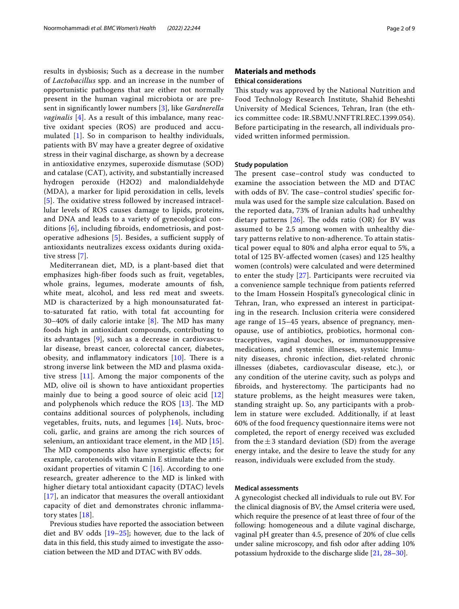results in dysbiosis; Such as a decrease in the number of *Lactobacillus* spp. and an increase in the number of opportunistic pathogens that are either not normally present in the human vaginal microbiota or are present in signifcantly lower numbers [\[3](#page-7-2)], like *Gardnerella vaginalis* [[4\]](#page-7-3). As a result of this imbalance, many reactive oxidant species (ROS) are produced and accumulated [[1\]](#page-7-0). So in comparison to healthy individuals, patients with BV may have a greater degree of oxidative stress in their vaginal discharge, as shown by a decrease in antioxidative enzymes, superoxide dismutase (SOD) and catalase (CAT), activity, and substantially increased hydrogen peroxide (H2O2) and malondialdehyde (MDA), a marker for lipid peroxidation in cells, levels [[5](#page-7-4)]. The oxidative stress followed by increased intracellular levels of ROS causes damage to lipids, proteins, and DNA and leads to a variety of gynecological conditions [[6\]](#page-7-5), including fbroids, endometriosis, and postoperative adhesions  $[5]$  $[5]$ . Besides, a sufficient supply of antioxidants neutralizes excess oxidants during oxidative stress [[7](#page-7-6)].

Mediterranean diet, MD, is a plant-based diet that emphasizes high-fber foods such as fruit, vegetables, whole grains, legumes, moderate amounts of fish, white meat, alcohol, and less red meat and sweets. MD is characterized by a high monounsaturated fatto-saturated fat ratio, with total fat accounting for 30–40% of daily calorie intake  $[8]$  $[8]$ . The MD has many foods high in antioxidant compounds, contributing to its advantages [[9\]](#page-7-8), such as a decrease in cardiovascular disease, breast cancer, colorectal cancer, diabetes, obesity, and inflammatory indicators  $[10]$  $[10]$ . There is a strong inverse link between the MD and plasma oxidative stress [\[11](#page-7-10)]. Among the major components of the MD, olive oil is shown to have antioxidant properties mainly due to being a good source of oleic acid [\[12](#page-7-11)] and polyphenols which reduce the ROS  $[13]$  $[13]$ . The MD contains additional sources of polyphenols, including vegetables, fruits, nuts, and legumes [[14\]](#page-7-13). Nuts, broccoli, garlic, and grains are among the rich sources of selenium, an antioxidant trace element, in the MD [[15\]](#page-7-14). The MD components also have synergistic effects; for example, carotenoids with vitamin E stimulate the antioxidant properties of vitamin C  $[16]$  $[16]$  $[16]$ . According to one research, greater adherence to the MD is linked with higher dietary total antioxidant capacity (DTAC) levels [[17](#page-7-16)], an indicator that measures the overall antioxidant capacity of diet and demonstrates chronic infammatory states [\[18](#page-7-17)].

Previous studies have reported the association between diet and BV odds  $[19–25]$  $[19–25]$  $[19–25]$  $[19–25]$ ; however, due to the lack of data in this feld, this study aimed to investigate the association between the MD and DTAC with BV odds.

#### **Materials and methods Ethical considerations**

This study was approved by the National Nutrition and Food Technology Research Institute, Shahid Beheshti University of Medical Sciences, Tehran, Iran (the ethics committee code: IR.SBMU.NNFTRI.REC.1399.054). Before participating in the research, all individuals provided written informed permission.

#### **Study population**

The present case–control study was conducted to examine the association between the MD and DTAC with odds of BV. The case–control studies' specific formula was used for the sample size calculation. Based on the reported data, 73% of Iranian adults had unhealthy dietary patterns  $[26]$  $[26]$ . The odds ratio (OR) for BV was assumed to be 2.5 among women with unhealthy dietary patterns relative to non-adherence. To attain statistical power equal to 80% and alpha error equal to 5%, a total of 125 BV-afected women (cases) and 125 healthy women (controls) were calculated and were determined to enter the study [[27\]](#page-7-21). Participants were recruited via a convenience sample technique from patients referred to the Imam Hossein Hospital's gynecological clinic in Tehran, Iran, who expressed an interest in participating in the research. Inclusion criteria were considered age range of 15–45 years, absence of pregnancy, menopause, use of antibiotics, probiotics, hormonal contraceptives, vaginal douches, or immunosuppressive medications, and systemic illnesses, systemic Immunity diseases, chronic infection, diet-related chronic illnesses (diabetes, cardiovascular disease, etc.), or any condition of the uterine cavity, such as polyps and fibroids, and hysterectomy. The participants had no stature problems, as the height measures were taken, standing straight up. So, any participants with a problem in stature were excluded. Additionally, if at least 60% of the food frequency questionnaire items were not completed, the report of energy received was excluded from the  $\pm 3$  standard deviation (SD) from the average energy intake, and the desire to leave the study for any reason, individuals were excluded from the study.

#### **Medical assessments**

A gynecologist checked all individuals to rule out BV. For the clinical diagnosis of BV, the Amsel criteria were used, which require the presence of at least three of four of the following: homogeneous and a dilute vaginal discharge, vaginal pH greater than 4.5, presence of 20% of clue cells under saline microscopy, and fsh odor after adding 10% potassium hydroxide to the discharge slide [[21,](#page-7-22) [28–](#page-7-23)[30\]](#page-7-24).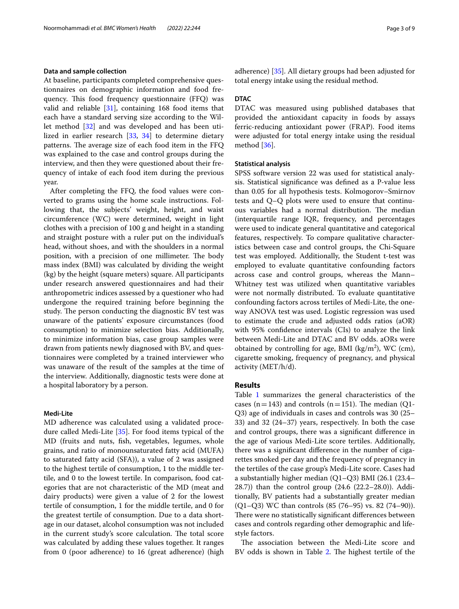#### **Data and sample collection**

At baseline, participants completed comprehensive questionnaires on demographic information and food frequency. This food frequency questionnaire (FFQ) was valid and reliable [[31\]](#page-7-25), containing 168 food items that each have a standard serving size according to the Willet method [[32\]](#page-7-26) and was developed and has been utilized in earlier research [\[33](#page-7-27), [34\]](#page-7-28) to determine dietary patterns. The average size of each food item in the FFQ was explained to the case and control groups during the interview, and then they were questioned about their frequency of intake of each food item during the previous year.

After completing the FFQ, the food values were converted to grams using the home scale instructions. Following that, the subjects' weight, height, and waist circumference (WC) were determined, weight in light clothes with a precision of 100 g and height in a standing and straight posture with a ruler put on the individual's head, without shoes, and with the shoulders in a normal position, with a precision of one millimeter. The body mass index (BMI) was calculated by dividing the weight (kg) by the height (square meters) square. All participants under research answered questionnaires and had their anthropometric indices assessed by a questioner who had undergone the required training before beginning the study. The person conducting the diagnostic BV test was unaware of the patients' exposure circumstances (food consumption) to minimize selection bias. Additionally, to minimize information bias, case group samples were drawn from patients newly diagnosed with BV, and questionnaires were completed by a trained interviewer who was unaware of the result of the samples at the time of the interview. Additionally, diagnostic tests were done at a hospital laboratory by a person.

#### **Medi‑Lite**

MD adherence was calculated using a validated procedure called Medi-Lite [\[35\]](#page-7-29). For food items typical of the MD (fruits and nuts, fsh, vegetables, legumes, whole grains, and ratio of monounsaturated fatty acid (MUFA) to saturated fatty acid (SFA)), a value of 2 was assigned to the highest tertile of consumption, 1 to the middle tertile, and 0 to the lowest tertile. In comparison, food categories that are not characteristic of the MD (meat and dairy products) were given a value of 2 for the lowest tertile of consumption, 1 for the middle tertile, and 0 for the greatest tertile of consumption. Due to a data shortage in our dataset, alcohol consumption was not included in the current study's score calculation. The total score was calculated by adding these values together. It ranges from 0 (poor adherence) to 16 (great adherence) (high adherence) [[35](#page-7-29)]. All dietary groups had been adjusted for total energy intake using the residual method.

#### **DTAC**

DTAC was measured using published databases that provided the antioxidant capacity in foods by assays ferric-reducing antioxidant power (FRAP). Food items were adjusted for total energy intake using the residual method [\[36\]](#page-7-30).

#### **Statistical analysis**

SPSS software version 22 was used for statistical analysis. Statistical signifcance was defned as a P-value less than 0.05 for all hypothesis tests. Kolmogorov–Smirnov tests and Q–Q plots were used to ensure that continuous variables had a normal distribution. The median (interquartile range IQR, frequency, and percentages were used to indicate general quantitative and categorical features, respectively. To compare qualitative characteristics between case and control groups, the Chi-Square test was employed. Additionally, the Student t-test was employed to evaluate quantitative confounding factors across case and control groups, whereas the Mann– Whitney test was utilized when quantitative variables were not normally distributed. To evaluate quantitative confounding factors across tertiles of Medi-Lite, the oneway ANOVA test was used. Logistic regression was used to estimate the crude and adjusted odds ratios (aOR) with 95% confdence intervals (CIs) to analyze the link between Medi-Lite and DTAC and BV odds. aORs were obtained by controlling for age, BMI ( $\text{kg/m}^2$ ), WC (cm), cigarette smoking, frequency of pregnancy, and physical activity (MET/h/d).

#### **Results**

Table [1](#page-3-0) summarizes the general characteristics of the cases (n=143) and controls (n=151). The median (Q1-Q3) age of individuals in cases and controls was 30 (25– 33) and 32 (24–37) years, respectively. In both the case and control groups, there was a signifcant diference in the age of various Medi-Lite score tertiles. Additionally, there was a signifcant diference in the number of cigarettes smoked per day and the frequency of pregnancy in the tertiles of the case group's Medi-Lite score. Cases had a substantially higher median (Q1–Q3) BMI (26.1 (23.4– 28.7)) than the control group (24.6 (22.2–28.0)). Additionally, BV patients had a substantially greater median (Q1–Q3) WC than controls (85 (76–95) vs. 82 (74–90)). There were no statistically significant differences between cases and controls regarding other demographic and lifestyle factors.

The association between the Medi-Lite score and BV odds is shown in Table [2](#page-4-0). The highest tertile of the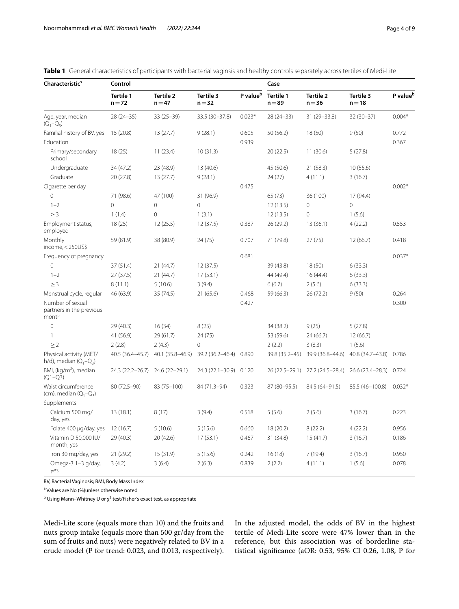| Characteristic <sup>s</sup>                           | Control                         |                              |                        |                      | Case                  |                              |                              |                      |
|-------------------------------------------------------|---------------------------------|------------------------------|------------------------|----------------------|-----------------------|------------------------------|------------------------------|----------------------|
|                                                       | Tertile 1<br>$n = 72$           | <b>Tertile 2</b><br>$n = 47$ | Tertile 3<br>$n = 32$  | P value <sup>b</sup> | Tertile 1<br>$n = 89$ | <b>Tertile 2</b><br>$n = 36$ | <b>Tertile 3</b><br>$n = 18$ | P value <sup>b</sup> |
| Age, year, median<br>$(Q_1-Q_3)$                      | $28(24-35)$                     | $33(25-39)$                  | 33.5 (30-37.8)         | $0.023*$             | $28(24-33)$           | 31 (29 - 33.8)               | $32(30-37)$                  | $0.004*$             |
| Familial history of BV, yes                           | 15(20.8)                        | 13(27.7)                     | 9(28.1)                | 0.605                | 50(56.2)              | 18 (50)                      | 9(50)                        | 0.772                |
| Education                                             |                                 |                              |                        | 0.939                |                       |                              |                              | 0.367                |
| Primary/secondary<br>school                           | 18(25)                          | 11(23.4)                     | 10(31.3)               |                      | 20(22.5)              | 11(30.6)                     | 5(27.8)                      |                      |
| Undergraduate                                         | 34 (47.2)                       | 23 (48.9)                    | 13(40.6)               |                      | 45 (50.6)             | 21 (58.3)                    | 10(55.6)                     |                      |
| Graduate                                              | 20(27.8)                        | 13(27.7)                     | 9(28.1)                |                      | 24(27)                | 4(11.1)                      | 3(16.7)                      |                      |
| Cigarette per day                                     |                                 |                              |                        | 0.475                |                       |                              |                              | $0.002*$             |
| 0                                                     | 71 (98.6)                       | 47 (100)                     | 31 (96.9)              |                      | 65(73)                | 36 (100)                     | 17 (94.4)                    |                      |
| $1 - 2$                                               | $\mathbf 0$                     | $\mathbf 0$                  | $\overline{0}$         |                      | 12(13.5)              | 0                            | $\mathbf{0}$                 |                      |
| $\geq$ 3                                              | 1(1.4)                          | $\Omega$                     | 1(3.1)                 |                      | 12(13.5)              | $\Omega$                     | 1(5.6)                       |                      |
| Employment status,<br>employed                        | 18(25)                          | 12(25.5)                     | 12(37.5)               | 0.387                | 26 (29.2)             | 13(36.1)                     | 4(22.2)                      | 0.553                |
| Monthly<br>$income, < 250US$ \$                       | 59 (81.9)                       | 38 (80.9)                    | 24 (75)                | 0.707                | 71 (79.8)             | 27(75)                       | 12 (66.7)                    | 0.418                |
| Frequency of pregnancy                                |                                 |                              |                        | 0.681                |                       |                              |                              | $0.037*$             |
| $\Omega$                                              | 37(51.4)                        | 21 (44.7)                    | 12(37.5)               |                      | 39 (43.8)             | 18(50)                       | 6(33.3)                      |                      |
| $1 - 2$                                               | 27(37.5)                        | 21 (44.7)                    | 17(53.1)               |                      | 44 (49.4)             | 16(44.4)                     | 6(33.3)                      |                      |
| $\geq$ 3                                              | 8(11.1)                         | 5(10.6)                      | 3(9.4)                 |                      | 6(6.7)                | 2(5.6)                       | 6(33.3)                      |                      |
| Menstrual cycle, regular                              | 46 (63.9)                       | 35 (74.5)                    | 21(65.6)               | 0.468                | 59 (66.3)             | 26 (72.2)                    | 9(50)                        | 0.264                |
| Number of sexual<br>partners in the previous<br>month |                                 |                              |                        | 0.427                |                       |                              |                              | 0.300                |
| 0                                                     | 29 (40.3)                       | 16(34)                       | 8(25)                  |                      | 34 (38.2)             | 9(25)                        | 5(27.8)                      |                      |
| 1                                                     | 41 (56.9)                       | 29(61.7)                     | 24(75)                 |                      | 53 (59.6)             | 24 (66.7)                    | 12(66.7)                     |                      |
| $\geq$ 2                                              | 2(2.8)                          | 2(4.3)                       | $\mathbf{0}$           |                      | 2(2.2)                | 3(8.3)                       | 1(5.6)                       |                      |
| Physical activity (MET/<br>h/d), median $(Q_1-Q_3)$   | 40.5 (36.4-45.7)                | 40.1 (35.8-46.9)             | 39.2 (36.2-46.4)       | 0.890                | 39.8 (35.2-45)        | 39.9 (36.8-44.6)             | 40.8 (34.7-43.8)             | 0.786                |
| BMI, (kg/m <sup>2</sup> ), median<br>$(O1 - O3)$      | 24.3 (22.2-26.7) 24.6 (22-29.1) |                              | 24.3 (22.1-30.9) 0.120 |                      | 26 (22.5 - 29.1)      | 27.2 (24.5-28.4)             | 26.6 (23.4-28.3) 0.724       |                      |
| Waist circumference<br>(cm), median $(Q_1-Q_3)$       | 80 (72.5-90)                    | 83 (75-100)                  | 84 (71.3-94)           | 0.323                | 87 (80-95.5)          | 84.5 (64-91.5)               | 85.5 (46-100.8)              | $0.032*$             |
| Supplements                                           |                                 |                              |                        |                      |                       |                              |                              |                      |
| Calcium 500 mg/<br>day, yes                           | 13(18.1)                        | 8(17)                        | 3(9.4)                 | 0.518                | 5(5.6)                | 2(5.6)                       | 3(16.7)                      | 0.223                |
| Folate 400 µg/day, yes                                | 12(16.7)                        | 5(10.6)                      | 5(15.6)                | 0.660                | 18 (20.2)             | 8(22.2)                      | 4(22.2)                      | 0.956                |
| Vitamin D 50,000 IU/<br>month, yes                    | 29 (40.3)                       | 20 (42.6)                    | 17(53.1)               | 0.467                | 31 (34.8)             | 15(41.7)                     | 3(16.7)                      | 0.186                |
| Iron 30 mg/day, yes                                   | 21 (29.2)                       | 15 (31.9)                    | 5(15.6)                | 0.242                | 16(18)                | 7(19.4)                      | 3(16.7)                      | 0.950                |
| Omega-3 1-3 g/day,<br>yes                             | 3(4.2)                          | 3(6.4)                       | 2(6.3)                 | 0.839                | 2(2.2)                | 4(11.1)                      | 1(5.6)                       | 0.078                |

<span id="page-3-0"></span>**Table 1** General characteristics of participants with bacterial vaginsis and healthy controls separately across tertiles of Medi-Lite

BV, Bacterial Vaginosis; BMI, Body Mass Index

<sup>a</sup> Values are No (%)unless otherwise noted

 $^{\rm b}$  Using Mann–Whitney U or  $\chi^2$  test/Fisher's exact test, as appropriate

Medi-Lite score (equals more than 10) and the fruits and nuts group intake (equals more than 500 gr/day from the sum of fruits and nuts) were negatively related to BV in a crude model (P for trend: 0.023, and 0.013, respectively).

In the adjusted model, the odds of BV in the highest tertile of Medi-Lite score were 47% lower than in the reference, but this association was of borderline statistical signifcance (aOR: 0.53, 95% CI 0.26, 1.08, P for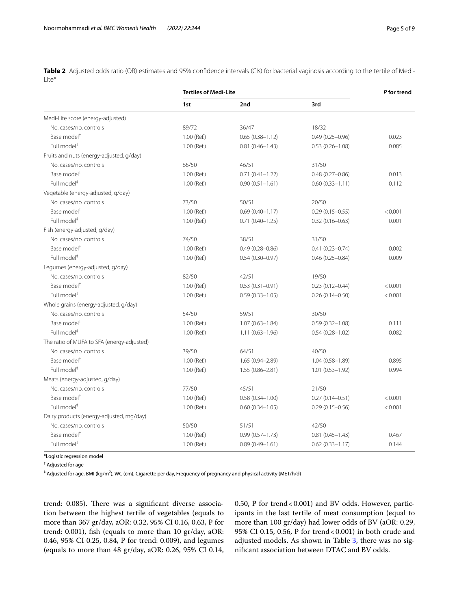<span id="page-4-0"></span>**Table 2** Adjusted odds ratio (OR) estimates and 95% confdence intervals (CIs) for bacterial vaginosis according to the tertile of Medi-Lite\*

|                                            | <b>Tertiles of Medi-Lite</b> | P for trend         |                     |         |
|--------------------------------------------|------------------------------|---------------------|---------------------|---------|
|                                            | 1st                          | 2nd                 | 3rd                 |         |
| Medi-Lite score (energy-adjusted)          |                              |                     |                     |         |
| No. cases/no. controls                     | 89/72                        | 36/47               | 18/32               |         |
| Base model <sup>†</sup>                    | 1.00 (Ref.)                  | $0.65(0.38 - 1.12)$ | $0.49(0.25 - 0.96)$ | 0.023   |
| Full model <sup>#</sup>                    | 1.00 (Ref.)                  | $0.81(0.46 - 1.43)$ | $0.53(0.26 - 1.08)$ | 0.085   |
| Fruits and nuts (energy-adjusted, g/day)   |                              |                     |                     |         |
| No. cases/no. controls                     | 66/50                        | 46/51               | 31/50               |         |
| Base model <sup>†</sup>                    | 1.00 (Ref.)                  | $0.71(0.41 - 1.22)$ | $0.48(0.27 - 0.86)$ | 0.013   |
| Full model <sup>#</sup>                    | 1.00 (Ref.)                  | $0.90(0.51 - 1.61)$ | $0.60(0.33 - 1.11)$ | 0.112   |
| Vegetable (energy-adjusted, g/day)         |                              |                     |                     |         |
| No. cases/no. controls                     | 73/50                        | 50/51               | 20/50               |         |
| Base model <sup>+</sup>                    | 1.00 (Ref.)                  | $0.69(0.40 - 1.17)$ | $0.29(0.15 - 0.55)$ | < 0.001 |
| Full model <sup>#</sup>                    | 1.00 (Ref.)                  | $0.71(0.40 - 1.25)$ | $0.32(0.16 - 0.63)$ | 0.001   |
| Fish (energy-adjusted, g/day)              |                              |                     |                     |         |
| No. cases/no. controls                     | 74/50                        | 38/51               | 31/50               |         |
| Base model <sup>+</sup>                    | 1.00 (Ref.)                  | $0.49(0.28 - 0.86)$ | $0.41(0.23 - 0.74)$ | 0.002   |
| Full model <sup>#</sup>                    | 1.00 (Ref.)                  | $0.54(0.30 - 0.97)$ | $0.46(0.25 - 0.84)$ | 0.009   |
| Legumes (energy-adjusted, g/day)           |                              |                     |                     |         |
| No. cases/no. controls                     | 82/50                        | 42/51               | 19/50               |         |
| Base model <sup>+</sup>                    | 1.00 (Ref.)                  | $0.53(0.31 - 0.91)$ | $0.23(0.12 - 0.44)$ | < 0.001 |
| Full model <sup>#</sup>                    | 1.00 (Ref.)                  | $0.59(0.33 - 1.05)$ | $0.26(0.14 - 0.50)$ | < 0.001 |
| Whole grains (energy-adjusted, g/day)      |                              |                     |                     |         |
| No. cases/no. controls                     | 54/50                        | 59/51               | 30/50               |         |
| Base model <sup>+</sup>                    | 1.00 (Ref.)                  | $1.07(0.63 - 1.84)$ | $0.59(0.32 - 1.08)$ | 0.111   |
| Full model <sup>#</sup>                    | 1.00 (Ref.)                  | $1.11(0.63 - 1.96)$ | $0.54(0.28 - 1.02)$ | 0.082   |
| The ratio of MUFA to SFA (energy-adjusted) |                              |                     |                     |         |
| No. cases/no. controls                     | 39/50                        | 64/51               | 40/50               |         |
| Base model <sup>†</sup>                    | 1.00 (Ref.)                  | 1.65 (0.94-2.89)    | $1.04(0.58 - 1.89)$ | 0.895   |
| Full model <sup>#</sup>                    | 1.00 (Ref.)                  | $1.55(0.86 - 2.81)$ | $1.01(0.53 - 1.92)$ | 0.994   |
| Meats (energy-adjusted, g/day)             |                              |                     |                     |         |
| No. cases/no. controls                     | 77/50                        | 45/51               | 21/50               |         |
| Base model <sup>†</sup>                    | 1.00 (Ref.)                  | $0.58(0.34 - 1.00)$ | $0.27(0.14 - 0.51)$ | < 0.001 |
| Full model <sup>#</sup>                    | 1.00 (Ref.)                  | $0.60(0.34 - 1.05)$ | $0.29(0.15 - 0.56)$ | < 0.001 |
| Dairy products (energy-adjusted, mg/day)   |                              |                     |                     |         |
| No. cases/no. controls                     | 50/50                        | 51/51               | 42/50               |         |
| Base model <sup>+</sup>                    | 1.00 (Ref.)                  | $0.99(0.57 - 1.73)$ | $0.81(0.45 - 1.43)$ | 0.467   |
| Full model <sup>#</sup>                    | 1.00 (Ref.)                  | $0.89(0.49 - 1.61)$ | $0.62(0.33 - 1.17)$ | 0.144   |

\*Logistic regression model

† Adjusted for age

‡ Adjusted for age, BMI (kg/m2 ), WC (cm), Cigarette per day, Frequency of pregnancy and physical activity (MET/h/d)

trend: 0.085). There was a significant diverse association between the highest tertile of vegetables (equals to more than 367 gr/day, aOR: 0.32, 95% CI 0.16, 0.63, P for trend: 0.001), fsh (equals to more than 10 gr/day, aOR: 0.46, 95% CI 0.25, 0.84, P for trend: 0.009), and legumes (equals to more than 48 gr/day, aOR: 0.26, 95% CI 0.14, 0.50, P for trend<0.001) and BV odds. However, participants in the last tertile of meat consumption (equal to more than 100 gr/day) had lower odds of BV (aOR: 0.29, 95% CI 0.15, 0.56, P for trend<0.001) in both crude and adjusted models. As shown in Table [3](#page-5-0), there was no signifcant association between DTAC and BV odds.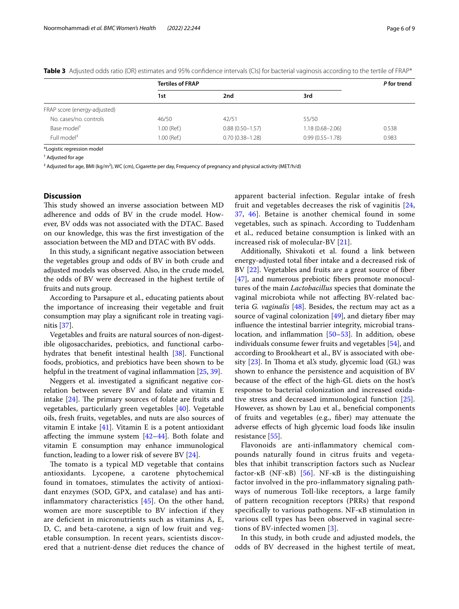|                              | <b>Tertiles of FRAP</b> |                     | P for trend         |       |
|------------------------------|-------------------------|---------------------|---------------------|-------|
|                              | 1st                     | 2nd                 | 3rd                 |       |
| FRAP score (energy-adjusted) |                         |                     |                     |       |
| No. cases/no. controls       | 46/50                   | 42/51               | 55/50               |       |
| Base model <sup>+</sup>      | 1.00 (Ref.)             | $0.88(0.50 - 1.57)$ | $1.18(0.68 - 2.06)$ | 0.538 |
| Full model <sup>#</sup>      | 1.00 (Ref.)             | $0.70(0.38 - 1.28)$ | $0.99(0.55 - 1.78)$ | 0.983 |

<span id="page-5-0"></span>**Table 3** Adjusted odds ratio (OR) estimates and 95% confidence intervals (CIs) for bacterial vaginosis according to the tertile of FRAP\*

\*Logistic regression model

† Adjusted for age

 $^\ddag$  Adjusted for age, BMI (kg/m<sup>2</sup>), WC (cm), Cigarette per day, Frequency of pregnancy and physical activity (MET/h/d)

#### **Discussion**

This study showed an inverse association between MD adherence and odds of BV in the crude model. However, BV odds was not associated with the DTAC. Based on our knowledge, this was the frst investigation of the association between the MD and DTAC with BV odds.

In this study, a signifcant negative association between the vegetables group and odds of BV in both crude and adjusted models was observed. Also, in the crude model, the odds of BV were decreased in the highest tertile of fruits and nuts group.

According to Parsapure et al., educating patients about the importance of increasing their vegetable and fruit consumption may play a signifcant role in treating vaginitis [\[37\]](#page-7-31).

Vegetables and fruits are natural sources of non-digestible oligosaccharides, prebiotics, and functional carbohydrates that beneft intestinal health [[38\]](#page-7-32). Functional foods, probiotics, and prebiotics have been shown to be helpful in the treatment of vaginal inflammation [[25](#page-7-19), [39\]](#page-7-33).

Neggers et al. investigated a signifcant negative correlation between severe BV and folate and vitamin E intake  $[24]$  $[24]$ . The primary sources of folate are fruits and vegetables, particularly green vegetables [[40\]](#page-7-35). Vegetable oils, fresh fruits, vegetables, and nuts are also sources of vitamin E intake [\[41\]](#page-7-36). Vitamin E is a potent antioxidant afecting the immune system [\[42](#page-7-37)[–44](#page-7-38)]. Both folate and vitamin E consumption may enhance immunological function, leading to a lower risk of severe BV [\[24](#page-7-34)].

The tomato is a typical MD vegetable that contains antioxidants. Lycopene, a carotene phytochemical found in tomatoes, stimulates the activity of antioxidant enzymes (SOD, GPX, and catalase) and has antiinfammatory characteristics [\[45](#page-7-39)]. On the other hand, women are more susceptible to BV infection if they are defcient in micronutrients such as vitamins A, E, D, C, and beta-carotene, a sign of low fruit and vegetable consumption. In recent years, scientists discovered that a nutrient-dense diet reduces the chance of apparent bacterial infection. Regular intake of fresh fruit and vegetables decreases the risk of vaginitis [\[24](#page-7-34), [37,](#page-7-31) [46](#page-7-40)]. Betaine is another chemical found in some vegetables, such as spinach. According to Tuddenham et al., reduced betaine consumption is linked with an increased risk of molecular-BV [[21](#page-7-22)].

Additionally, Shivakoti et al. found a link between energy-adjusted total fber intake and a decreased risk of BV [[22](#page-7-41)]. Vegetables and fruits are a great source of fber [[47\]](#page-8-0), and numerous prebiotic fibers promote monocultures of the main *Lactobacillus* species that dominate the vaginal microbiota while not afecting BV-related bacteria *G. vaginalis* [\[48\]](#page-8-1). Besides, the rectum may act as a source of vaginal colonization  $[49]$ , and dietary fiber may infuence the intestinal barrier integrity, microbial trans-location, and inflammation [[50](#page-8-3)[–53](#page-8-4)]. In addition, obese individuals consume fewer fruits and vegetables [[54\]](#page-8-5), and according to Brookheart et al., BV is associated with obesity  $[23]$  $[23]$ . In Thoma et al's study, glycemic load  $(GL)$  was shown to enhance the persistence and acquisition of BV because of the efect of the high-GL diets on the host's response to bacterial colonization and increased oxidative stress and decreased immunological function [\[25](#page-7-19)]. However, as shown by Lau et al., beneficial components of fruits and vegetables (e.g., fber) may attenuate the adverse efects of high glycemic load foods like insulin resistance [[55\]](#page-8-6).

Flavonoids are anti-infammatory chemical compounds naturally found in citrus fruits and vegetables that inhibit transcription factors such as Nuclear factor-κB (NF-κB) [[56](#page-8-7)]. NF-κB is the distinguishing factor involved in the pro-infammatory signaling pathways of numerous Toll-like receptors, a large family of pattern recognition receptors (PRRs) that respond specifcally to various pathogens. NF-κB stimulation in various cell types has been observed in vaginal secretions of BV-infected women [[3\]](#page-7-2).

In this study, in both crude and adjusted models, the odds of BV decreased in the highest tertile of meat,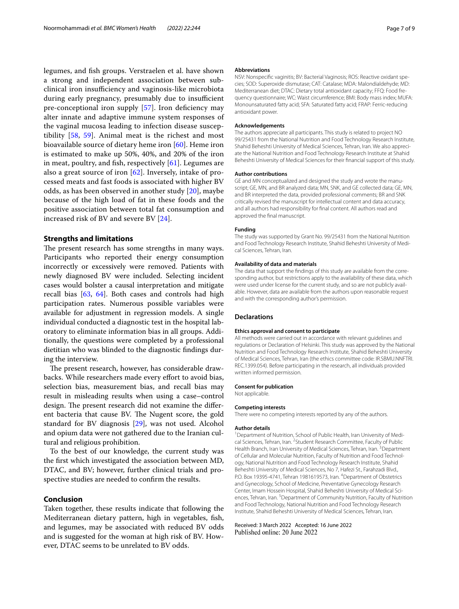legumes, and fsh groups. Verstraelen et al. have shown a strong and independent association between subclinical iron insufficiency and vaginosis-like microbiota during early pregnancy, presumably due to insufficient pre-conceptional iron supply [[57\]](#page-8-8). Iron deficiency may alter innate and adaptive immune system responses of the vaginal mucosa leading to infection disease susceptibility [[58,](#page-8-9) [59](#page-8-10)]. Animal meat is the richest and most bioavailable source of dietary heme iron [\[60](#page-8-11)]. Heme iron is estimated to make up 50%, 40%, and 20% of the iron in meat, poultry, and fish, respectively  $[61]$  $[61]$ . Legumes are also a great source of iron  $[62]$  $[62]$ . Inversely, intake of processed meats and fast foods is associated with higher BV odds, as has been observed in another study [\[20](#page-7-43)], maybe because of the high load of fat in these foods and the positive association between total fat consumption and increased risk of BV and severe BV [[24\]](#page-7-34).

#### **Strengths and limitations**

The present research has some strengths in many ways. Participants who reported their energy consumption incorrectly or excessively were removed. Patients with newly diagnosed BV were included. Selecting incident cases would bolster a causal interpretation and mitigate recall bias [[63,](#page-8-14) [64](#page-8-15)]. Both cases and controls had high participation rates. Numerous possible variables were available for adjustment in regression models. A single individual conducted a diagnostic test in the hospital laboratory to eliminate information bias in all groups. Additionally, the questions were completed by a professional dietitian who was blinded to the diagnostic fndings during the interview.

The present research, however, has considerable drawbacks. While researchers made every effort to avoid bias, selection bias, measurement bias, and recall bias may result in misleading results when using a case–control design. The present research did not examine the different bacteria that cause BV. The Nugent score, the gold standard for BV diagnosis [\[29](#page-7-44)], was not used. Alcohol and opium data were not gathered due to the Iranian cultural and religious prohibition.

To the best of our knowledge, the current study was the frst which investigated the association between MD, DTAC, and BV; however, further clinical trials and prospective studies are needed to confrm the results.

#### **Conclusion**

Taken together, these results indicate that following the Mediterranean dietary pattern, high in vegetables, fsh, and legumes, may be associated with reduced BV odds and is suggested for the woman at high risk of BV. However, DTAC seems to be unrelated to BV odds.

#### **Abbreviations**

NSV: Nonspecifc vaginitis; BV: Bacterial Vaginosis; ROS: Reactive oxidant species; SOD: Superoxide dismutase; CAT: Catalase; MDA: Malondialdehyde; MD: Mediterranean diet; DTAC: Dietary total antioxidant capacity; FFQ: Food frequency questionnaire; WC: Waist circumference; BMI: Body mass index; MUFA: Monounsaturated fatty acid; SFA: Saturated fatty acid; FRAP: Ferric-reducing antioxidant power.

#### **Acknowledgements**

The authors appreciate all participants. This study is related to project NO 99/25431 from the National Nutrition and Food Technology Research Institute, Shahid Beheshti University of Medical Sciences, Tehran, Iran. We also appreciate the National Nutrition and Food Technology Research Institute at Shahid Beheshti University of Medical Sciences for their fnancial support of this study.

#### **Author contributions**

GE and MN conceptualized and designed the study and wrote the manuscript; GE, MN, and BR analyzed data; MN, SNK, and GE collected data; GE, MN, and BR interpreted the data, provided professional comments; BR and SNK critically revised the manuscript for intellectual content and data accuracy, and all authors had responsibility for fnal content. All authors read and approved the fnal manuscript.

#### **Funding**

The study was supported by Grant No. 99/25431 from the National Nutrition and Food Technology Research Institute, Shahid Beheshti University of Medical Sciences, Tehran, Iran.

#### **Availability of data and materials**

The data that support the fndings of this study are available from the corresponding author, but restrictions apply to the availability of these data, which were used under license for the current study, and so are not publicly available. However, data are available from the authors upon reasonable request and with the corresponding author's permission.

#### **Declarations**

#### **Ethics approval and consent to participate**

All methods were carried out in accordance with relevant guidelines and regulations or Declaration of Helsinki. This study was approved by the National Nutrition and Food Technology Research Institute, Shahid Beheshti University of Medical Sciences, Tehran, Iran (the ethics committee code: IR.SBMU.NNFTRI. REC.1399.054). Before participating in the research, all individuals provided written informed permission.

#### **Consent for publication**

Not applicable.

#### **Competing interests**

There were no competing interests reported by any of the authors.

#### **Author details**

<sup>1</sup> Department of Nutrition, School of Public Health, Iran University of Medical Sciences, Tehran, Iran. <sup>2</sup> Student Research Committee, Faculty of Public Health Branch, Iran University of Medical Sciences, Tehran, Iran.<sup>3</sup> Department of Cellular and Molecular Nutrition, Faculty of Nutrition and Food Technology, National Nutrition and Food Technology Research Institute, Shahid Beheshti University of Medical Sciences, No 7, Hafezi St., Farahzadi Blvd., P.O. Box 19395-4741, Tehran 1981619573, Iran. <sup>4</sup> Department of Obstetrics and Gynecology, School of Medicine, Preventative Gynecology Research Center, Imam Hossein Hospital, Shahid Beheshti University of Medical Sciences, Tehran, Iran.<sup>5</sup> Department of Community Nutrition, Faculty of Nutrition and Food Technology, National Nutrition and Food Technology Research Institute, Shahid Beheshti University of Medical Sciences, Tehran, Iran.

Received: 3 March 2022 Accepted: 16 June 2022<br>Published online: 20 June 2022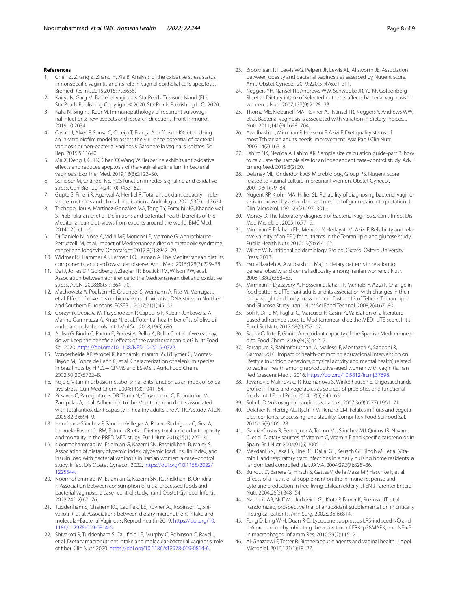#### **References**

- <span id="page-7-0"></span>1. Chen Z, Zhang Z, Zhang H, Xie B. Analysis of the oxidative stress status in nonspecifc vaginitis and its role in vaginal epithelial cells apoptosis. Biomed Res Int. 2015;2015: 795656.
- <span id="page-7-1"></span>2. Kairys N, Garg M. Bacterial vaginosis. StatPearls. Treasure Island (FL): StatPearls Publishing Copyright © 2020, StatPearls Publishing LLC.; 2020.
- <span id="page-7-2"></span>3. Kalia N, Singh J, Kaur M. Immunopathology of recurrent vulvovaginal infections: new aspects and research directions. Front Immunol. 2019;10:2034.
- <span id="page-7-3"></span>4. Castro J, Alves P, Sousa C, Cereija T, França Â, Jefferson KK, et al. Using an in-vitro bioflm model to assess the virulence potential of bacterial vaginosis or non-bacterial vaginosis Gardnerella vaginalis isolates. Sci Rep. 2015;5:11640.
- <span id="page-7-4"></span>5. Ma X, Deng J, Cui X, Chen Q, Wang W. Berberine exhibits antioxidative efects and reduces apoptosis of the vaginal epithelium in bacterial vaginosis. Exp Ther Med. 2019;18(3):2122–30.
- <span id="page-7-5"></span>6. Schieber M, Chandel NS. ROS function in redox signaling and oxidative stress. Curr Biol. 2014;24(10):R453–62.
- <span id="page-7-6"></span>7. Gupta S, Finelli R, Agarwal A, Henkel R. Total antioxidant capacity—relevance, methods and clinical implications. Andrologia. 2021;53(2): e13624.
- <span id="page-7-7"></span>8. Trichopoulou A, Martínez-González MA, Tong TY, Forouhi NG, Khandelwal S, Prabhakaran D, et al. Defnitions and potential health benefts of the Mediterranean diet: views from experts around the world. BMC Med. 2014;12(1):1–16.
- <span id="page-7-8"></span>9. Di Daniele N, Noce A, Vidiri MF, Moriconi E, Marrone G, Annicchiarico-Petruzzelli M, et al. Impact of Mediterranean diet on metabolic syndrome, cancer and longevity. Oncotarget. 2017;8(5):8947–79.
- <span id="page-7-9"></span>10. Widmer RJ, Flammer AJ, Lerman LO, Lerman A. The Mediterranean diet, its components, and cardiovascular disease. Am J Med. 2015;128(3):229–38.
- <span id="page-7-10"></span>11. Dai J, Jones DP, Goldberg J, Ziegler TR, Bostick RM, Wilson PW, et al. Association between adherence to the Mediterranean diet and oxidative stress. AJCN. 2008;88(5):1364–70.
- <span id="page-7-11"></span>12. Machowetz A, Poulsen HE, Gruendel S, Weimann A, Fitó M, Marrugat J, et al. Efect of olive oils on biomarkers of oxidative DNA stress in Northern and Southern Europeans. FASEB J. 2007;21(1):45–52.
- <span id="page-7-12"></span>13. Gorzynik-Debicka M, Przychodzen P, Cappello F, Kuban-Jankowska A, Marino Gammazza A, Knap N, et al. Potential health benefts of olive oil and plant polyphenols. Int J Mol Sci. 2018;19(3):686.
- <span id="page-7-13"></span>14. Aulisa G, Binda C, Padua E, Pratesi A, Bellia A, Bellia C, et al. If we eat soy, do we keep the benefcial efects of the Mediterranean diet? Nutr Food Sci. 2020. [https://doi.org/10.1108/NFS-10-2019-0322.](https://doi.org/10.1108/NFS-10-2019-0322)
- <span id="page-7-14"></span>15. Vonderheide AP, Wrobel K, Kannamkumarath SS, B'Hymer C, Montes-Bayón M, Ponce de León C, et al. Characterization of selenium species in brazil nuts by HPLC−ICP-MS and ES-MS. J Agric Food Chem. 2002;50(20):5722–8.
- <span id="page-7-15"></span>16. Kojo S. Vitamin C: basic metabolism and its function as an index of oxidative stress. Curr Med Chem. 2004;11(8):1041–64.
- <span id="page-7-16"></span>17. Pitsavos C, Panagiotakos DB, Tzima N, Chrysohoou C, Economou M, Zampelas A, et al. Adherence to the Mediterranean diet is associated with total antioxidant capacity in healthy adults: the ATTICA study. AJCN. 2005;82(3):694–9.
- <span id="page-7-17"></span>18. Henríquez-Sánchez P, Sánchez-Villegas A, Ruano-Rodríguez C, Gea A, Lamuela-Raventós RM, Estruch R, et al. Dietary total antioxidant capacity and mortality in the PREDIMED study. Eur J Nutr. 2016;55(1):227–36.
- <span id="page-7-18"></span>19. Noormohammadi M, Eslamian G, Kazemi SN, Rashidkhani B, Malek S. Association of dietary glycemic index, glycemic load, insulin index, and insulin load with bacterial vaginosis in Iranian women: a case–control study. Infect Dis Obstet Gynecol. 2022. [https://doi.org/10.1155/2022/](https://doi.org/10.1155/2022/1225544) [1225544](https://doi.org/10.1155/2022/1225544).
- <span id="page-7-43"></span>20. Noormohammadi M, Eslamian G, Kazemi SN, Rashidkhani B, Omidifar F. Association between consumption of ultra-processed foods and bacterial vaginosis: a case–control study. Iran J Obstet Gynecol Infertil. 2022;24(12):67–76.
- <span id="page-7-22"></span>21. Tuddenham S, Ghanem KG, Caulfeld LE, Rovner AJ, Robinson C, Shivakoti R, et al. Associations between dietary micronutrient intake and molecular-Bacterial Vaginosis. Reprod Health. 2019. [https://doi.org/10.](https://doi.org/10.1186/s12978-019-0814-6) [1186/s12978-019-0814-6](https://doi.org/10.1186/s12978-019-0814-6).
- <span id="page-7-41"></span>22. Shivakoti R, Tuddenham S, Caulfeld LE, Murphy C, Robinson C, Ravel J, et al. Dietary macronutrient intake and molecular-bacterial vaginosis: role of fber. Clin Nutr. 2020.<https://doi.org/10.1186/s12978-019-0814-6>.
- <span id="page-7-42"></span>23. Brookheart RT, Lewis WG, Peipert JF, Lewis AL, Allsworth JE. Association between obesity and bacterial vaginosis as assessed by Nugent score. Am J Obstet Gynecol. 2019;220(5):476.e1-e11.
- <span id="page-7-34"></span>24. Neggers YH, Nansel TR, Andrews WW, Schwebke JR, Yu KF, Goldenberg RL, et al. Dietary intake of selected nutrients afects bacterial vaginosis in women. J Nutr. 2007;137(9):2128–33.
- <span id="page-7-19"></span>25. Thoma ME, Klebanoff MA, Rovner AJ, Nansel TR, Neggers Y, Andrews WW, et al. Bacterial vaginosis is associated with variation in dietary indices. J Nutr. 2011;141(9):1698–704.
- <span id="page-7-20"></span>26. Azadbakht L, Mirmiran P, Hosseini F, Azizi F. Diet quality status of most Tehranian adults needs improvement. Asia Pac J Clin Nutr. 2005;14(2):163–8.
- <span id="page-7-21"></span>27. Fahim NK, Negida A, Fahim AK. Sample size calculation guide-part 3: how to calculate the sample size for an independent case–control study. Adv J Emerg Med. 2019;3(2):20.
- <span id="page-7-23"></span>28. Delaney ML, Onderdonk AB, Microbiology, Group PS. Nugent score related to vaginal culture in pregnant women. Obstet Gynecol. 2001;98(1):79–84.
- <span id="page-7-44"></span>29. Nugent RP, Krohn MA, Hillier SL. Reliability of diagnosing bacterial vaginosis is improved by a standardized method of gram stain interpretation. J Clin Microbiol. 1991;29(2):297–301.
- <span id="page-7-24"></span>30. Money D. The laboratory diagnosis of bacterial vaginosis. Can J Infect Dis Med Microbiol. 2005;16:77–9.
- <span id="page-7-25"></span>31. Mirmiran P, Esfahani FH, Mehrabi Y, Hedayati M, Azizi F. Reliability and relative validity of an FFQ for nutrients in the Tehran lipid and glucose study. Public Health Nutr. 2010;13(5):654–62.
- <span id="page-7-26"></span>32. Willett W. Nutritional epidemiology. 3rd ed. Oxford: Oxford University Press; 2013.
- <span id="page-7-27"></span>33. Esmaillzadeh A, Azadbakht L. Major dietary patterns in relation to general obesity and central adiposity among Iranian women. J Nutr. 2008;138(2):358–63.
- <span id="page-7-28"></span>34. Mirmiran P, Djazayery A, Hosseini esfahani F, Mehrabi Y, Azizi F. Change in food patterns of Tehrani adults and its association with changes in their body weight and body mass index in District 13 of Tehran: Tehran Lipid and Glucose Study. Iran J Nutr Sci Food Technol. 2008;2(4):67–80.
- <span id="page-7-29"></span>35. Sof F, Dinu M, Pagliai G, Marcucci R, Casini A. Validation of a literaturebased adherence score to Mediterranean diet: the MEDI-LITE score. Int J Food Sci Nutr. 2017;68(6):757–62.
- <span id="page-7-30"></span>36. Saura-Calixto F, Goñi I. Antioxidant capacity of the Spanish Mediterranean diet. Food Chem. 2006;94(3):442–7.
- <span id="page-7-31"></span>37. Parsapure R, Rahimiforushani A, Majlessi F, Montazeri A, Sadeghi R, Garmarudi G. Impact of health-promoting educational intervention on lifestyle (nutrition behaviors, physical activity and mental health) related to vaginal health among reproductive-aged women with vaginitis. Iran Red Crescent Med J. 2016. <https://doi.org/10.5812/ircmj.37698>.
- <span id="page-7-32"></span>38. Jovanovic-Malinovska R, Kuzmanova S, Winkelhausen E. Oligosaccharide profle in fruits and vegetables as sources of prebiotics and functional foods. Int J Food Prop. 2014;17(5):949–65.
- <span id="page-7-33"></span>39. Sobel JD. Vulvovaginal candidosis. Lancet. 2007;369(9577):1961–71.
- <span id="page-7-35"></span>40. Delchier N, Herbig AL, Rychlik M, Renard CM. Folates in fruits and vegetables: contents, processing, and stability. Compr Rev Food Sci Food Saf. 2016;15(3):506–28.
- <span id="page-7-36"></span>41. García-Closas R, Berenguer A, Tormo MJ, Sánchez MJ, Quiros JR, Navarro C, et al. Dietary sources of vitamin C, vitamin E and specifc carotenoids in Spain. Br J Nutr. 2004;91(6):1005–11.
- <span id="page-7-37"></span>42. Meydani SN, Leka LS, Fine BC, Dallal GE, Keusch GT, Singh MF, et al. Vitamin E and respiratory tract infections in elderly nursing home residents: a randomized controlled trial. JAMA. 2004;292(7):828–36.
- 43. Bunout D, Barrera G, Hirsch S, Gattas V, de la Maza MP, Haschke F, et al. Efects of a nutritional supplement on the immune response and cytokine production in free-living Chilean elderly. JPEN J Parenter Enteral Nutr. 2004;28(5):348–54.
- <span id="page-7-38"></span>44. Nathens AB, Neff MJ, Jurkovich GJ, Klotz P, Farver K, Ruzinski JT, et al. Randomized, prospective trial of antioxidant supplementation in critically ill surgical patients. Ann Surg. 2002;236(6):814.
- <span id="page-7-39"></span>45. Feng D, Ling W-H, Duan R-D. Lycopene suppresses LPS-induced NO and IL-6 production by inhibiting the activation of ERK, p38MAPK, and NF-κB in macrophages. Infamm Res. 2010;59(2):115–21.
- <span id="page-7-40"></span>46. Al-Ghazzewi F, Tester R. Biotherapeutic agents and vaginal health. J Appl Microbiol. 2016;121(1):18–27.